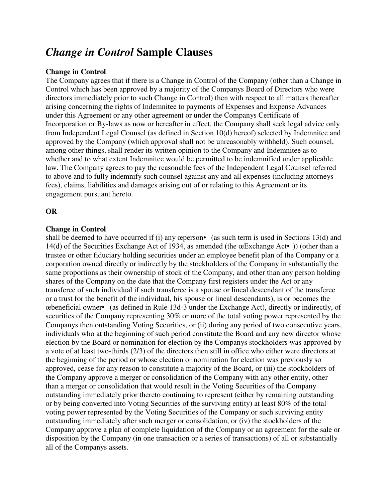# *Change in Control* **Sample Clauses**

# **Change in Control**.

The Company agrees that if there is a Change in Control of the Company (other than a Change in Control which has been approved by a majority of the Companys Board of Directors who were directors immediately prior to such Change in Control) then with respect to all matters thereafter arising concerning the rights of Indemnitee to payments of Expenses and Expense Advances under this Agreement or any other agreement or under the Companys Certificate of Incorporation or By-laws as now or hereafter in effect, the Company shall seek legal advice only from Independent Legal Counsel (as defined in Section 10(d) hereof) selected by Indemnitee and approved by the Company (which approval shall not be unreasonably withheld). Such counsel, among other things, shall render its written opinion to the Company and Indemnitee as to whether and to what extent Indemnitee would be permitted to be indemnified under applicable law. The Company agrees to pay the reasonable fees of the Independent Legal Counsel referred to above and to fully indemnify such counsel against any and all expenses (including attorneys fees), claims, liabilities and damages arising out of or relating to this Agreement or its engagement pursuant hereto.

# **OR**

# **Change in Control**

shall be deemed to have occurred if (i) any œperson• (as such term is used in Sections 13(d) and 14(d) of the Securities Exchange Act of 1934, as amended (the œExchange Act• )) (other than a trustee or other fiduciary holding securities under an employee benefit plan of the Company or a corporation owned directly or indirectly by the stockholders of the Company in substantially the same proportions as their ownership of stock of the Company, and other than any person holding shares of the Company on the date that the Company first registers under the Act or any transferee of such individual if such transferee is a spouse or lineal descendant of the transferee or a trust for the benefit of the individual, his spouse or lineal descendants), is or becomes the œbeneficial owner• (as defined in Rule 13d-3 under the Exchange Act), directly or indirectly, of securities of the Company representing 30% or more of the total voting power represented by the Companys then outstanding Voting Securities, or (ii) during any period of two consecutive years, individuals who at the beginning of such period constitute the Board and any new director whose election by the Board or nomination for election by the Companys stockholders was approved by a vote of at least two-thirds (2/3) of the directors then still in office who either were directors at the beginning of the period or whose election or nomination for election was previously so approved, cease for any reason to constitute a majority of the Board, or (iii) the stockholders of the Company approve a merger or consolidation of the Company with any other entity, other than a merger or consolidation that would result in the Voting Securities of the Company outstanding immediately prior thereto continuing to represent (either by remaining outstanding or by being converted into Voting Securities of the surviving entity) at least 80% of the total voting power represented by the Voting Securities of the Company or such surviving entity outstanding immediately after such merger or consolidation, or (iv) the stockholders of the Company approve a plan of complete liquidation of the Company or an agreement for the sale or disposition by the Company (in one transaction or a series of transactions) of all or substantially all of the Companys assets.